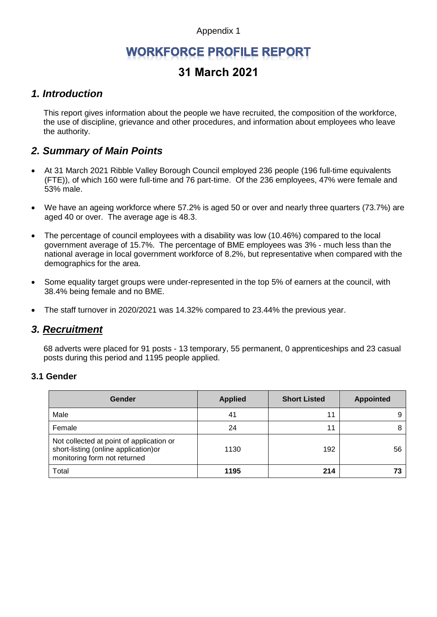Appendix 1

# **WORKFORCE PROFILE REPORT**

## **31 March 2021**

## *1. Introduction*

This report gives information about the people we have recruited, the composition of the workforce, the use of discipline, grievance and other procedures, and information about employees who leave the authority.

## *2. Summary of Main Points*

- At 31 March 2021 Ribble Valley Borough Council employed 236 people (196 full-time equivalents (FTE)), of which 160 were full-time and 76 part-time. Of the 236 employees, 47% were female and 53% male.
- We have an ageing workforce where 57.2% is aged 50 or over and nearly three quarters (73.7%) are aged 40 or over. The average age is 48.3.
- The percentage of council employees with a disability was low (10.46%) compared to the local government average of 15.7%. The percentage of BME employees was 3% - much less than the national average in local government workforce of 8.2%, but representative when compared with the demographics for the area.
- Some equality target groups were under-represented in the top 5% of earners at the council, with 38.4% being female and no BME.
- The staff turnover in 2020/2021 was 14.32% compared to 23.44% the previous year.

## *3. Recruitment*

68 adverts were placed for 91 posts - 13 temporary, 55 permanent, 0 apprenticeships and 23 casual posts during this period and 1195 people applied.

#### **3.1 Gender**

| Gender                                                                                                            | <b>Applied</b> | <b>Short Listed</b> | <b>Appointed</b> |
|-------------------------------------------------------------------------------------------------------------------|----------------|---------------------|------------------|
| Male                                                                                                              | 41             |                     | 9                |
| Female                                                                                                            | 24             |                     | 8                |
| Not collected at point of application or<br>short-listing (online application) or<br>monitoring form not returned | 1130           | 192                 | 56               |
| Total                                                                                                             | 1195           | 214                 |                  |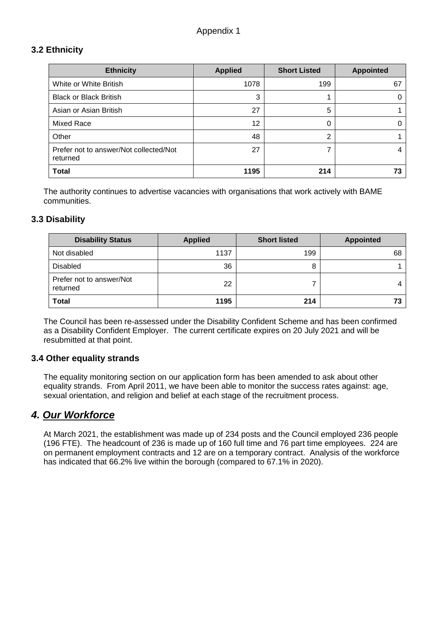## **3.2 Ethnicity**

| <b>Ethnicity</b>                                   | <b>Applied</b> | <b>Short Listed</b> | <b>Appointed</b> |
|----------------------------------------------------|----------------|---------------------|------------------|
| White or White British                             | 1078           | 199                 | 67               |
| <b>Black or Black British</b>                      | 3              |                     |                  |
| Asian or Asian British                             | 27             | 5                   |                  |
| Mixed Race                                         | 12             | 0                   |                  |
| Other                                              | 48             | 2                   |                  |
| Prefer not to answer/Not collected/Not<br>returned | 27             |                     |                  |
| <b>Total</b>                                       | 1195           | 214                 | 73               |

The authority continues to advertise vacancies with organisations that work actively with BAME communities.

#### **3.3 Disability**

| <b>Disability Status</b>             | <b>Applied</b> | <b>Short listed</b> | <b>Appointed</b> |
|--------------------------------------|----------------|---------------------|------------------|
| Not disabled                         | 1137           | 199                 | 68               |
| <b>Disabled</b>                      | 36             | 8                   |                  |
| Prefer not to answer/Not<br>returned | 22             |                     | 4                |
| Total                                | 1195           | 214                 |                  |

The Council has been re-assessed under the Disability Confident Scheme and has been confirmed as a Disability Confident Employer. The current certificate expires on 20 July 2021 and will be resubmitted at that point.

#### **3.4 Other equality strands**

The equality monitoring section on our application form has been amended to ask about other equality strands. From April 2011, we have been able to monitor the success rates against: age, sexual orientation, and religion and belief at each stage of the recruitment process.

## *4. Our Workforce*

At March 2021, the establishment was made up of 234 posts and the Council employed 236 people (196 FTE). The headcount of 236 is made up of 160 full time and 76 part time employees. 224 are on permanent employment contracts and 12 are on a temporary contract. Analysis of the workforce has indicated that 66.2% live within the borough (compared to 67.1% in 2020).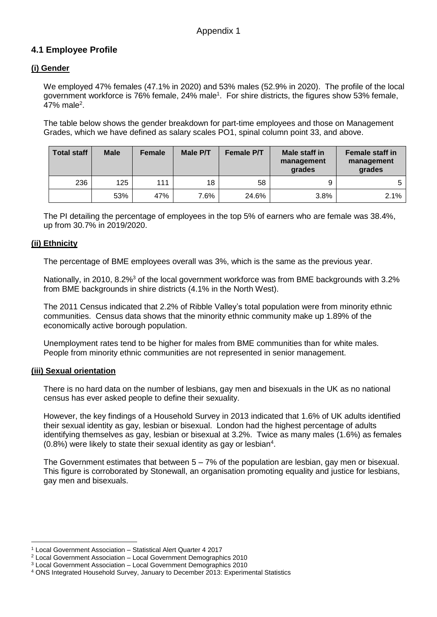## **4.1 Employee Profile**

#### **(i) Gender**

We employed 47% females (47.1% in 2020) and 53% males (52.9% in 2020). The profile of the local government workforce is 76% female, 24% male<sup>1</sup>. For shire districts, the figures show 53% female, 47% male<sup>2</sup>.

The table below shows the gender breakdown for part-time employees and those on Management Grades, which we have defined as salary scales PO1, spinal column point 33, and above.

| <b>Total staff</b> | <b>Male</b> | <b>Female</b> | Male P/T | <b>Female P/T</b> | Male staff in<br>management<br>grades | <b>Female staff in</b><br>management<br>grades |
|--------------------|-------------|---------------|----------|-------------------|---------------------------------------|------------------------------------------------|
| 236                | 125         | 111           | 18       | 58                |                                       |                                                |
|                    | 53%         | 47%           | 7.6%     | 24.6%             | 3.8%                                  | 2.1%                                           |

The PI detailing the percentage of employees in the top 5% of earners who are female was 38.4%, up from 30.7% in 2019/2020.

#### **(ii) Ethnicity**

The percentage of BME employees overall was 3%, which is the same as the previous year.

Nationally, in 2010, 8.2%<sup>3</sup> of the local government workforce was from BME backgrounds with 3.2% from BME backgrounds in shire districts (4.1% in the North West).

The 2011 Census indicated that 2.2% of Ribble Valley's total population were from minority ethnic communities. Census data shows that the minority ethnic community make up 1.89% of the economically active borough population.

Unemployment rates tend to be higher for males from BME communities than for white males. People from minority ethnic communities are not represented in senior management.

#### **(iii) Sexual orientation**

There is no hard data on the number of lesbians, gay men and bisexuals in the UK as no national census has ever asked people to define their sexuality.

However, the key findings of a Household Survey in 2013 indicated that 1.6% of UK adults identified their sexual identity as gay, lesbian or bisexual. London had the highest percentage of adults identifying themselves as gay, lesbian or bisexual at 3.2%. Twice as many males (1.6%) as females  $(0.8%)$  were likely to state their sexual identity as gay or lesbian<sup>4</sup>.

The Government estimates that between  $5 - 7%$  of the population are lesbian, gay men or bisexual. This figure is corroborated by Stonewall, an organisation promoting equality and justice for lesbians, gay men and bisexuals.

 $\overline{a}$ <sup>1</sup> Local Government Association – Statistical Alert Quarter 4 2017

<sup>2</sup> Local Government Association – Local Government Demographics 2010

<sup>3</sup> Local Government Association – Local Government Demographics 2010

<sup>4</sup> ONS Integrated Household Survey, January to December 2013: Experimental Statistics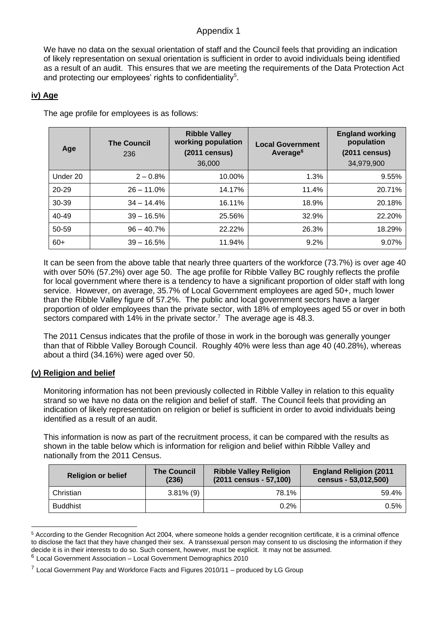#### Appendix 1

We have no data on the sexual orientation of staff and the Council feels that providing an indication of likely representation on sexual orientation is sufficient in order to avoid individuals being identified as a result of an audit. This ensures that we are meeting the requirements of the Data Protection Act and protecting our employees' rights to confidentiality<sup>5</sup>.

#### **iv) Age**

The age profile for employees is as follows:

| Age       | <b>The Council</b><br>236 | <b>Ribble Valley</b><br>working population<br>$(2011 \text{ census})$<br>36,000 | <b>Local Government</b><br>Average <sup>6</sup> | <b>England working</b><br>population<br>$(2011 \text{ census})$<br>34,979,900 |
|-----------|---------------------------|---------------------------------------------------------------------------------|-------------------------------------------------|-------------------------------------------------------------------------------|
| Under 20  | $2 - 0.8\%$               | 10.00%                                                                          | 1.3%                                            | 9.55%                                                                         |
| $20 - 29$ | $26 - 11.0\%$             | 14.17%                                                                          | 11.4%                                           | 20.71%                                                                        |
| 30-39     | $34 - 14.4\%$             | 16.11%                                                                          | 18.9%                                           | 20.18%                                                                        |
| 40-49     | $39 - 16.5\%$             | 25.56%                                                                          | 32.9%                                           | 22.20%                                                                        |
| 50-59     | $96 - 40.7\%$             | 22.22%                                                                          | 26.3%                                           | 18.29%                                                                        |
| $60+$     | $39 - 16.5\%$             | 11.94%                                                                          | $9.2\%$                                         | 9.07%                                                                         |

It can be seen from the above table that nearly three quarters of the workforce (73.7%) is over age 40 with over 50% (57.2%) over age 50. The age profile for Ribble Valley BC roughly reflects the profile for local government where there is a tendency to have a significant proportion of older staff with long service. However, on average, 35.7% of Local Government employees are aged 50+, much lower than the Ribble Valley figure of 57.2%. The public and local government sectors have a larger proportion of older employees than the private sector, with 18% of employees aged 55 or over in both sectors compared with 14% in the private sector.<sup>7</sup> The average age is 48.3.

The 2011 Census indicates that the profile of those in work in the borough was generally younger than that of Ribble Valley Borough Council. Roughly 40% were less than age 40 (40.28%), whereas about a third (34.16%) were aged over 50.

#### **(v) Religion and belief**

 $\overline{a}$ 

Monitoring information has not been previously collected in Ribble Valley in relation to this equality strand so we have no data on the religion and belief of staff. The Council feels that providing an indication of likely representation on religion or belief is sufficient in order to avoid individuals being identified as a result of an audit.

This information is now as part of the recruitment process, it can be compared with the results as shown in the table below which is information for religion and belief within Ribble Valley and nationally from the 2011 Census.

| <b>Religion or belief</b> | <b>The Council</b><br>(236) | <b>Ribble Valley Religion</b><br>(2011 census - 57,100) | <b>England Religion (2011)</b><br>census - 53,012,500) |
|---------------------------|-----------------------------|---------------------------------------------------------|--------------------------------------------------------|
| Christian                 | $3.81\%$ (9)                | 78.1%                                                   | 59.4%                                                  |
| <b>Buddhist</b>           |                             | 0.2%                                                    | $0.5\%$                                                |

<sup>5</sup> According to the Gender Recognition Act 2004, where someone holds a gender recognition certificate, it is a criminal offence to disclose the fact that they have changed their sex. A transsexual person may consent to us disclosing the information if they decide it is in their interests to do so. Such consent, however, must be explicit. It may not be assumed.

6 Local Government Association – Local Government Demographics 2010

 $<sup>7</sup>$  Local Government Pay and Workforce Facts and Figures 2010/11 – produced by LG Group</sup>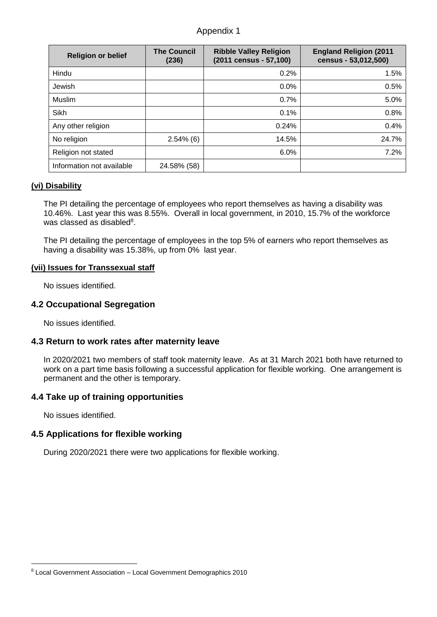| <b>Religion or belief</b> | <b>The Council</b><br>(236) | <b>Ribble Valley Religion</b><br>(2011 census - 57,100) | <b>England Religion (2011</b><br>census - 53,012,500) |
|---------------------------|-----------------------------|---------------------------------------------------------|-------------------------------------------------------|
| Hindu                     |                             | 0.2%                                                    | 1.5%                                                  |
| Jewish                    |                             | 0.0%                                                    | 0.5%                                                  |
| Muslim                    |                             | 0.7%                                                    | 5.0%                                                  |
| Sikh                      |                             | 0.1%                                                    | 0.8%                                                  |
| Any other religion        |                             | 0.24%                                                   | 0.4%                                                  |
| No religion               | $2.54\%$ (6)                | 14.5%                                                   | 24.7%                                                 |
| Religion not stated       |                             | 6.0%                                                    | 7.2%                                                  |
| Information not available | 24.58% (58)                 |                                                         |                                                       |

#### **(vi) Disability**

The PI detailing the percentage of employees who report themselves as having a disability was 10.46%. Last year this was 8.55%. Overall in local government, in 2010, 15.7% of the workforce was classed as disabled<sup>8</sup>.

The PI detailing the percentage of employees in the top 5% of earners who report themselves as having a disability was 15.38%, up from 0% last year.

#### **(vii) Issues for Transsexual staff**

No issues identified.

#### **4.2 Occupational Segregation**

No issues identified.

#### **4.3 Return to work rates after maternity leave**

In 2020/2021 two members of staff took maternity leave. As at 31 March 2021 both have returned to work on a part time basis following a successful application for flexible working. One arrangement is permanent and the other is temporary.

#### **4.4 Take up of training opportunities**

No issues identified.

 $\overline{a}$ 

### **4.5 Applications for flexible working**

During 2020/2021 there were two applications for flexible working.

<sup>8</sup> Local Government Association – Local Government Demographics 2010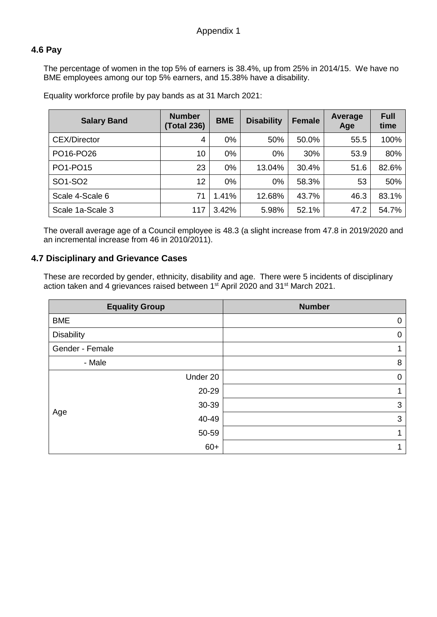#### **4.6 Pay**

The percentage of women in the top 5% of earners is 38.4%, up from 25% in 2014/15. We have no BME employees among our top 5% earners, and 15.38% have a disability.

Equality workforce profile by pay bands as at 31 March 2021:

| <b>Salary Band</b>  | <b>Number</b><br>(Total 236) | <b>BME</b> | <b>Disability</b> | <b>Female</b> | Average<br>Age | <b>Full</b><br>time |
|---------------------|------------------------------|------------|-------------------|---------------|----------------|---------------------|
| <b>CEX/Director</b> | $\overline{4}$               | 0%         | 50%               | 50.0%         | 55.5           | 100%                |
| PO16-PO26           | 10                           | $0\%$      | $0\%$             | 30%           | 53.9           | 80%                 |
| PO1-PO15            | 23                           | 0%         | 13.04%            | 30.4%         | 51.6           | 82.6%               |
| SO1-SO2             | 12                           | 0%         | $0\%$             | 58.3%         | 53             | 50%                 |
| Scale 4-Scale 6     | 71                           | 1.41%      | 12.68%            | 43.7%         | 46.3           | 83.1%               |
| Scale 1a-Scale 3    | 117                          | 3.42%      | 5.98%             | 52.1%         | 47.2           | 54.7%               |

The overall average age of a Council employee is 48.3 (a slight increase from 47.8 in 2019/2020 and an incremental increase from 46 in 2010/2011).

#### **4.7 Disciplinary and Grievance Cases**

These are recorded by gender, ethnicity, disability and age. There were 5 incidents of disciplinary action taken and 4 grievances raised between 1st April 2020 and 31st March 2021.

| <b>Equality Group</b> | <b>Number</b> |
|-----------------------|---------------|
| <b>BME</b>            | $\mathbf 0$   |
| <b>Disability</b>     | $\mathbf 0$   |
| Gender - Female       |               |
| - Male                | 8             |
| Under 20              | $\mathbf 0$   |
| 20-29                 | 1             |
| 30-39                 | 3             |
| Age<br>40-49          | 3             |
| 50-59                 |               |
| $60+$                 |               |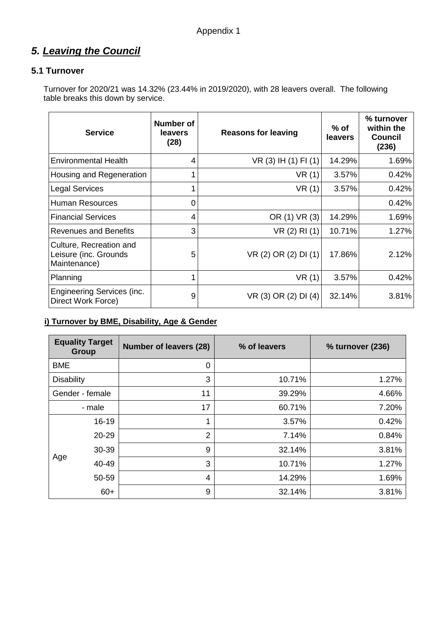## *5. Leaving the Council*

## **5.1 Turnover**

Turnover for 2020/21 was 14.32% (23.44% in 2019/2020), with 28 leavers overall. The following table breaks this down by service.

| <b>Service</b>                                                   | Number of<br>leavers<br>(28) | <b>Reasons for leaving</b> | $%$ of<br><b>leavers</b> | % turnover<br>within the<br>Council<br>(236) |
|------------------------------------------------------------------|------------------------------|----------------------------|--------------------------|----------------------------------------------|
| <b>Environmental Health</b>                                      | 4                            | VR(3) IH(1) Fl(1)          | 14.29%                   | 1.69%                                        |
| Housing and Regeneration                                         |                              | VR(1)                      | 3.57%                    | 0.42%                                        |
| <b>Legal Services</b>                                            |                              | VR(1)                      | 3.57%                    | 0.42%                                        |
| <b>Human Resources</b>                                           | 0                            |                            |                          | 0.42%                                        |
| <b>Financial Services</b>                                        | 4                            | OR (1) VR (3)              | 14.29%                   | 1.69%                                        |
| <b>Revenues and Benefits</b>                                     | 3                            | VR(2) RI(1)                | 10.71%                   | 1.27%                                        |
| Culture, Recreation and<br>Leisure (inc. Grounds<br>Maintenance) | 5                            | VR (2) OR (2) DI (1)       | 17.86%                   | 2.12%                                        |
| Planning                                                         |                              | VR(1)                      | 3.57%                    | 0.42%                                        |
| <b>Engineering Services (inc.</b><br>Direct Work Force)          | 9                            | VR (3) OR (2) DI (4)       | 32.14%                   | 3.81%                                        |

#### **i) Turnover by BME, Disability, Age & Gender**

| <b>Equality Target</b><br><b>Group</b> |                 | <b>Number of leavers (28)</b> | % of leavers | % turnover (236) |
|----------------------------------------|-----------------|-------------------------------|--------------|------------------|
| <b>BME</b>                             |                 | $\mathbf 0$                   |              |                  |
| <b>Disability</b>                      |                 | 3                             | 10.71%       | 1.27%            |
|                                        | Gender - female | 11                            | 39.29%       | 4.66%            |
|                                        | - male          | 17                            | 60.71%       | 7.20%            |
|                                        | $16 - 19$       | 1                             | 3.57%        | 0.42%            |
|                                        | 20-29           | $\overline{2}$                | 7.14%        | 0.84%            |
|                                        | 30-39           | 9                             | 32.14%       | 3.81%            |
| Age                                    | 40-49           | 3                             | 10.71%       | 1.27%            |
|                                        | 50-59           | 4                             | 14.29%       | 1.69%            |
|                                        | $60+$           | 9                             | 32.14%       | 3.81%            |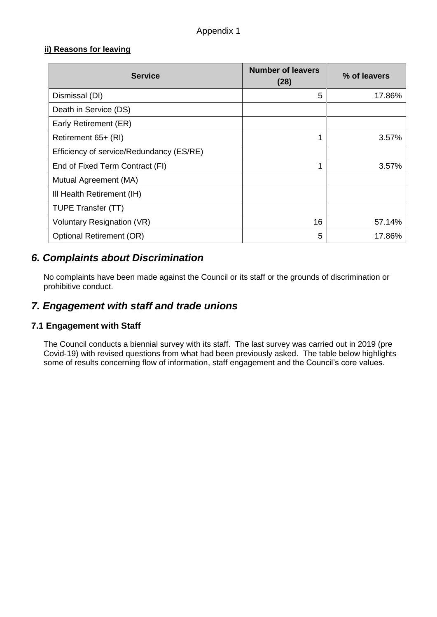#### **ii) Reasons for leaving**

| <b>Service</b>                           | <b>Number of leavers</b><br>(28) | % of leavers |
|------------------------------------------|----------------------------------|--------------|
| Dismissal (DI)                           | 5                                | 17.86%       |
| Death in Service (DS)                    |                                  |              |
| Early Retirement (ER)                    |                                  |              |
| Retirement 65+ (RI)                      | 1                                | 3.57%        |
| Efficiency of service/Redundancy (ES/RE) |                                  |              |
| End of Fixed Term Contract (FI)          |                                  | 3.57%        |
| Mutual Agreement (MA)                    |                                  |              |
| Ill Health Retirement (IH)               |                                  |              |
| TUPE Transfer (TT)                       |                                  |              |
| <b>Voluntary Resignation (VR)</b>        | 16                               | 57.14%       |
| <b>Optional Retirement (OR)</b>          | 5                                | 17.86%       |

## *6. Complaints about Discrimination*

No complaints have been made against the Council or its staff or the grounds of discrimination or prohibitive conduct.

## *7. Engagement with staff and trade unions*

#### **7.1 Engagement with Staff**

The Council conducts a biennial survey with its staff. The last survey was carried out in 2019 (pre Covid-19) with revised questions from what had been previously asked. The table below highlights some of results concerning flow of information, staff engagement and the Council's core values.